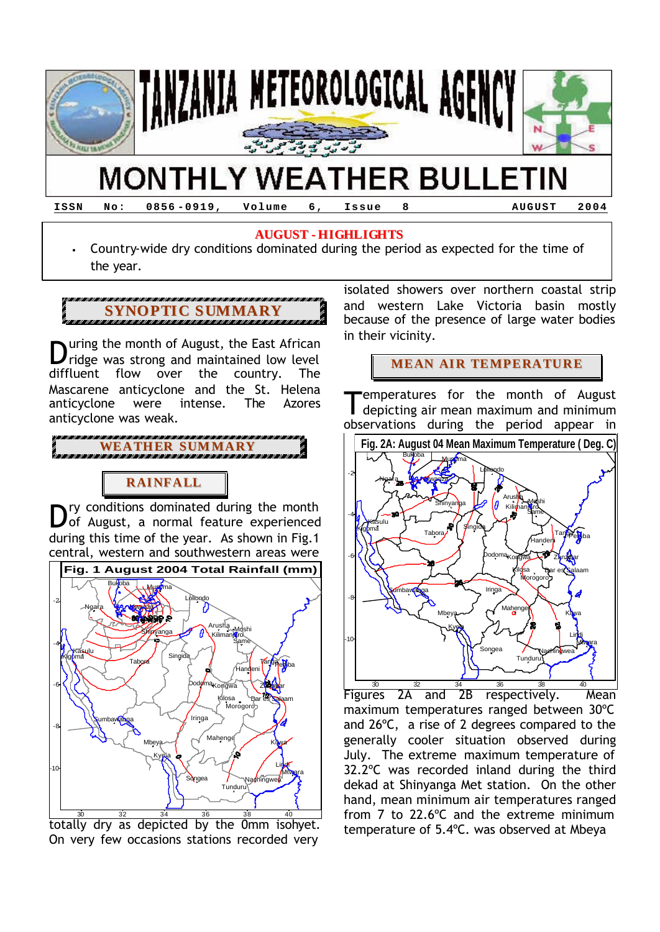

**ISSN No: 0856 -0919, Volume 6, Issue 8 AUGUST 2004**

### **AUGUST - HIGHLIGHTS**

• Country-wide dry conditions dominated during the period as expected for the time of the year.



uring the month of August, the East African ridge was strong and maintained low level diffluent flow over the country. The Mascarene anticyclone and the St. Helena anticyclone were intense. The Azores anticyclone was weak. D

**WEATHER SUMMARY**

# **RAINFALL**

ry conditions dominated during the month Dry conditions dominated during the month<br>
of August, a normal feature experienced during this time of the year. As shown in Fig.1 central, western and southwestern areas were



 $\frac{30}{10}$   $\frac{32}{10}$   $\frac{34}{10}$   $\frac{36}{10}$   $\frac{38}{10}$   $\frac{40}{10}$   $\frac{40}{10}$  totally dry as depicted by the 0mm isohyet. On very few occasions stations recorded very

isolated showers over northern coastal strip and western Lake Victoria basin mostly because of the presence of large water bodies in their vicinity.

## **MEAN AIR TEMPERATURE**

emperatures for the month of August depicting air mean maximum and minimum observations during the period appear in T



Figures 2A and 2B respectively. Mean maximum temperatures ranged between 30ºC and 26ºC, a rise of 2 degrees compared to the generally cooler situation observed during July. The extreme maximum temperature of 32.2ºC was recorded inland during the third dekad at Shinyanga Met station. On the other hand, mean minimum air temperatures ranged from 7 to 22.6ºC and the extreme minimum temperature of 5.4ºC. was observed at Mbeya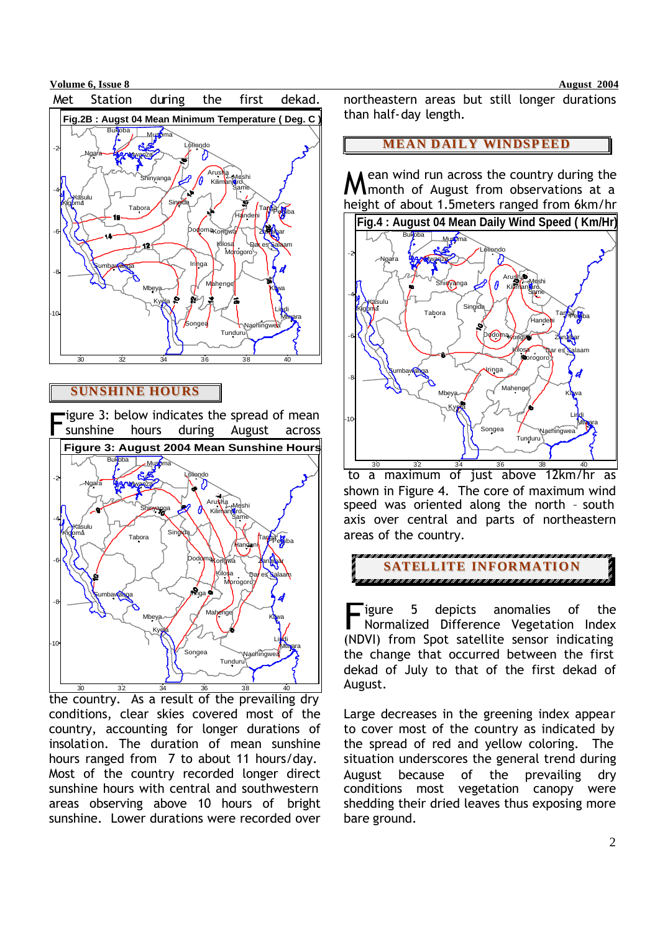



### **SUNSHINE HOURS**



the country. As a result of the prevailing dry conditions, clear skies covered most of the country, accounting for longer durations of insolation. The duration of mean sunshine hours ranged from 7 to about 11 hours/day. Most of the country recorded longer direct sunshine hours with central and southwestern areas observing above 10 hours of bright sunshine. Lower durations were recorded over

northeastern areas but still longer durations than half-day length.

#### **MEAN DAILY WINDSPEED**

ean wind run across the country during the month of August from observations at a height of about 1.5meters ranged from 6km/hr M



 to a maximum of just above 12km/hr as shown in Figure 4. The core of maximum wind speed was oriented along the north – south axis over central and parts of northeastern areas of the country.



igure 5 depicts anomalies of the Normalized Difference Vegetation Index (NDVI) from Spot satellite sensor indicating the change that occurred between the first dekad of July to that of the first dekad of August. F<sub>in</sub>

Large decreases in the greening index appear to cover most of the country as indicated by the spread of red and yellow coloring. The situation underscores the general trend during August because of the prevailing dry conditions most vegetation canopy were shedding their dried leaves thus exposing more bare ground.